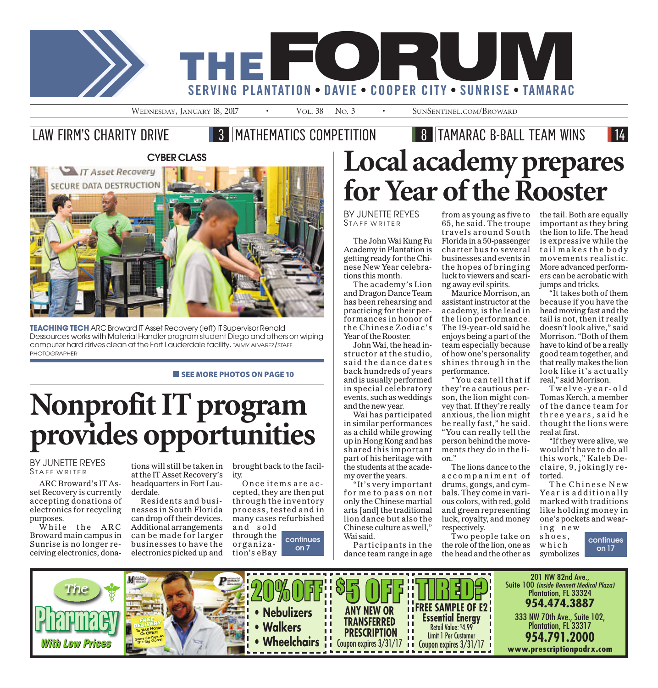

#### LAW FIRM'S CHARITY DRIVE **3 MATHEMATICS COMPETITION 8 TAMARAC B-BALL TEAM WINS**



**TEACHING TECH** ARC Broward IT Asset Recovery (left) IT Supervisor Renald Dessources works with Material Handler program student Diego and others on wiping computer hard drives clean at the Fort Lauderdale facility. TAIMY ALVAREZ/STAFF PHOTOGRAPHER

#### **EXECUTE SEE MORE PHOTOS ON PAGE 10**

# Nonprofit IT program provides opportunities

BY JUNETTE REYES STAFF WRITER

ARC Broward's IT Asset Recovery is currently accepting donations of electronics for recycling purposes.

While the ARC Broward main campus in Sunrise is no longer receiving electronics, dona-

tions will still be taken in at the IT Asset Recovery's headquarters in Fort Lauderdale.

Residents and businesses in South Florida can drop off their devices. Additional arrangements can be made for larger businesses to have the electronics picked up and

brought back to the facility.

Once items are accepted, they are then put through the inventory process, tested and in many cases refurbished and sold through the

organization's eBay continues on 7

# Local academy prepares for Year of the Rooster

BY JUNETTE REYES STAFF WRITER

The John Wai Kung Fu Academy in Plantation is getting ready for the Chinese New Year celebrations this month.

The academy's Lion and Dragon Dance Team has been rehearsing and practicing for their performances in honor of the Chinese Zodiac's Year of the Rooster.

John Wai, the head instructor at the studio, said the dance dates back hundreds of years and is usually performed in special celebratory events, such as weddings and the new year.

Wai has participated in similar performances as a child while growing up in Hong Kong and has shared this important part of his heritage with the students at the academy over the years.

"It's very important for me to pass on not only the Chinese martial arts [and] the traditional lion dance but also the Chinese culture as well," Wai said.

Participants in the dance team range in age

from as young as five to 65, he said. The troupe travels around South Florida in a 50-passenger charter bus to several businesses and events in the hopes of bringing luck to viewers and scaring away evil spirits.

Maurice Morrison, an assistant instructor at the academy, is the lead in the lion performance. The 19-year-old said he enjoys being a part of the team especially because of how one's personality shines through in the performance.

"You can tell that if they're a cautious person, the lion might convey that. If they're really anxious, the lion might be really fast," he said. "You can really tell the person behind the movements they do in the lion."

The lions dance to the accom pani ment o f drums, gongs, and cymbals. They come in various colors, with red, gold and green representing luck, royalty, and money respectively.

Two people take on the role of the lion, one as the head and the other as

the tail. Both are equally important as they bring the lion to life. The head is expressive while the tail makes the body movements realistic. More advanced performers can be acrobatic with jumps and tricks.

"It takes both of them because if you have the head moving fast and the tail is not, then it really doesn't look alive," said Morrison. "Both of them have to kind of be a really good team together, and that really makes the lion look like it's actually real," said Morrison.

T w elve- year - o l d Tomas Kerch, a member of the dance team for three years, said he thought the lions were real at first.

"If they were alive, we wouldn't have to do all this work," Kaleb Declaire, 9, jokingly retorted.

The Chinese New Year is additionally marked with traditions like holding money in one's pockets and wearing n e w

shoes, w h i c h symbolizes continues on17

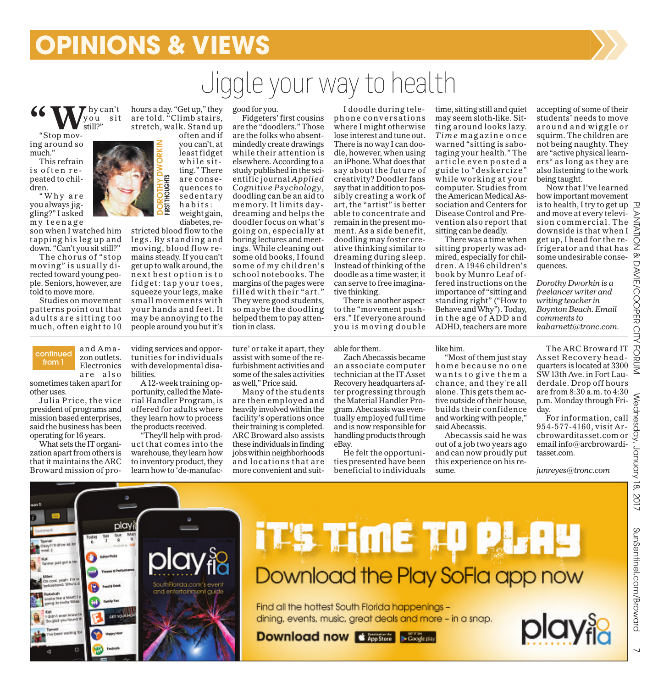### **OPINIONS & VIEWS**

## Jiggle yourwayto health

**66** Wyou sit you sit still?"

"Stop moving around so much."

This refrain is often repeated to children.

"Why are you always jiggling?" I asked m y t e enage

son when I watched him tapping his leg up and down. "Can't you sit still?"

The chorus of "stop moving" is usually di rected toward young people. Seniors, however, are told to move more.

Studies on movement patterns point out that adults are sitting too much, often eight to 10



hours a day. "Get up," they are told. "Climb stairs, stretch, walk. Stand up

> you can't, at least fidget w h ile sitting." There are consequences to sedentary habits:

diabetes, restricted blood flow to the legs. By standing and moving, blood flow remains steady. If you can't get up to walk around, the n ext best option is to fidget: tap your toes, squeeze your legs, make small movements with your hands and feet. It may be annoying to the people around you but it's good for you.

Fidgeters' first cousins are the "doodlers." Those are the folks who absentmindedly create drawings while their attention is elsewhere. According to a study published in the scientific journal *Applied Cognitive Psychology*, doodling can be an aid to memory. It limits daydreaming and helps the doodler focus on what's going on, especially at boring lectures and meetings. While cleaning out some old books, I found some of my children's school notebooks. The margins of the pages were filled with their "art." They were good students, so maybe the doodling helped them to pay attention in class.

I doodle during telephone conversations where I might otherwise lose interest and tune out. There is no way I can doodle, however, when using an iPhone. What does that say about the future of creativity? Doodler fans say that in addition to possibly creating a work of art, the "artist" is better able to concentrate and remain in the present moment. As a side benefit, doodling may foster creative thinking similar to dreaming during sleep. Instead of thinking of the doodle as a time waster, it can serve to free imaginative thinking.

There is another aspect to the "movement pushers." If everyone around you is moving double taging your health." The article even posted a guide to "deskercize" while working at your computer. Studies from the American Medical Association and Centers for Disease Control and Prevention also report that sitting can be deadly. There was a time when sitting properly was ad-

time, sitting still and quiet may seem sloth-like. Sitting around looks lazy. *Tim e* magazine once warned "sitting is sabo-

mired, especially for children. A 1946 children's book by Munro Leaf offered instructions on the importance of "sitting and standing right" ("How to Behave and Why"). Today, in the age of ADD and ADHD, teachers are more accepting of some of their students' needs to move around and wiggle or squirm. The children are not being naughty. They are "active physical learners" as long as they are also listening to the work being taught.

Now that I've learned how important movement is to health, I try to get up and move at every television commercial. The downside is that when I get up, I head for the refrigerator and that has some undesirable consequences.

*Dorothy Dworkin is a freelancer writer and writing teacher in Boynton Beach. Email comments to kabarnett@tronc.com.*

are also sometimes taken apart for other uses.

Julia Price, the vice president of programs and mission based enterprises, said the business has been operating for16 years.

What sets the IT organization apart from others is that it maintains the ARC Broward mission of providing services and opportunities for individuals with developmental disabilities.

A 12-week training opportunity, called the Material Handler Program, is offered for adults where they learn how to process the products received.

"They'll help with product that comes into the warehouse, they learn how to inventory product, they learn how to 'de-manufacture' or take it apart, they assist with some of the refurbishment activities and some of the sales activities as well," Price said.

Many of the students are then employed and heavily involved within the facility's operations once their training is completed. ARC Broward also assists these individuals in finding jobs within neighborhoods and locations that are more convenient and suitable for them.

Zach Abecassis became an associate computer technician at the IT Asset Recovery headquarters after progressing through the Material Handler Program. Abecassis was eventually employed full time and is now responsible for handling products through eBay.

He felt the opportunities presented have been beneficial to individuals like him.

"Most of them just stay home because no one wants to give them a chance, and they're all alone. This gets them active outside of their house, builds their confidence and working with people," said Abecassis.

Abecassis said he was out of a job two years ago and can now proudly put this experience on his resume.

The ARC Broward IT Asset Recovery headquarters is located at 3300 SW13th Ave. in Fort Lauderdale. Drop off hours<br>are from 8:30 a.m. to 4:30 are from 8:30 a.m. to 4:30 p.m. Monday through Friday.

For information, call 954-577-4160, visit Arcbrowarditasset.com or email info@arcbrowarditasset.com.

*junreyes@tronc.com*